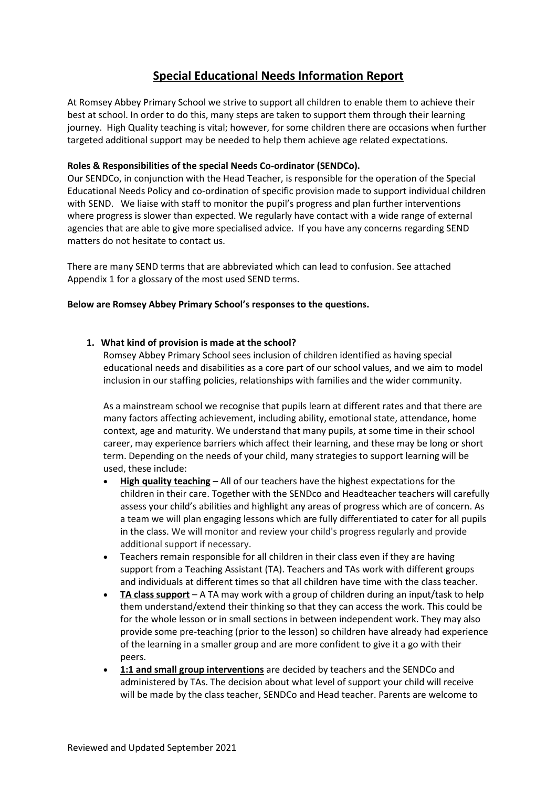# **Special Educational Needs Information Report**

At Romsey Abbey Primary School we strive to support all children to enable them to achieve their best at school. In order to do this, many steps are taken to support them through their learning journey. High Quality teaching is vital; however, for some children there are occasions when further targeted additional support may be needed to help them achieve age related expectations.

# **Roles & Responsibilities of the special Needs Co-ordinator (SENDCo).**

Our SENDCo, in conjunction with the Head Teacher, is responsible for the operation of the Special Educational Needs Policy and co-ordination of specific provision made to support individual children with SEND. We liaise with staff to monitor the pupil's progress and plan further interventions where progress is slower than expected. We regularly have contact with a wide range of external agencies that are able to give more specialised advice. If you have any concerns regarding SEND matters do not hesitate to contact us.

There are many SEND terms that are abbreviated which can lead to confusion. See attached Appendix 1 for a glossary of the most used SEND terms.

### **Below are Romsey Abbey Primary School's responses to the questions.**

### **1. What kind of provision is made at the school?**

Romsey Abbey Primary School sees inclusion of children identified as having special educational needs and disabilities as a core part of our school values, and we aim to model inclusion in our staffing policies, relationships with families and the wider community.

As a mainstream school we recognise that pupils learn at different rates and that there are many factors affecting achievement, including ability, emotional state, attendance, home context, age and maturity. We understand that many pupils, at some time in their school career, may experience barriers which affect their learning, and these may be long or short term. Depending on the needs of your child, many strategies to support learning will be used, these include:

- **High quality teaching** All of our teachers have the highest expectations for the children in their care. Together with the SENDco and Headteacher teachers will carefully assess your child's abilities and highlight any areas of progress which are of concern. As a team we will plan engaging lessons which are fully differentiated to cater for all pupils in the class. We will monitor and review your child's progress regularly and provide additional support if necessary.
- Teachers remain responsible for all children in their class even if they are having support from a Teaching Assistant (TA). Teachers and TAs work with different groups and individuals at different times so that all children have time with the class teacher.
- **TA class support** A TA may work with a group of children during an input/task to help them understand/extend their thinking so that they can access the work. This could be for the whole lesson or in small sections in between independent work. They may also provide some pre-teaching (prior to the lesson) so children have already had experience of the learning in a smaller group and are more confident to give it a go with their peers.
- **1:1 and small group interventions** are decided by teachers and the SENDCo and administered by TAs. The decision about what level of support your child will receive will be made by the class teacher, SENDCo and Head teacher. Parents are welcome to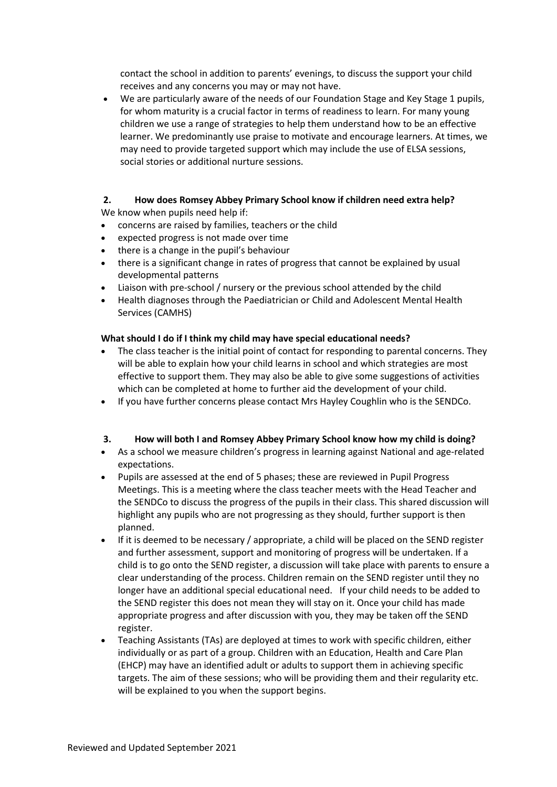contact the school in addition to parents' evenings, to discuss the support your child receives and any concerns you may or may not have.

• We are particularly aware of the needs of our Foundation Stage and Key Stage 1 pupils, for whom maturity is a crucial factor in terms of readiness to learn. For many young children we use a range of strategies to help them understand how to be an effective learner. We predominantly use praise to motivate and encourage learners. At times, we may need to provide targeted support which may include the use of ELSA sessions, social stories or additional nurture sessions.

#### **2. How does Romsey Abbey Primary School know if children need extra help?**  We know when pupils need help if:

- concerns are raised by families, teachers or the child
- expected progress is not made over time
- there is a change in the pupil's behaviour
- there is a significant change in rates of progress that cannot be explained by usual developmental patterns
- Liaison with pre-school / nursery or the previous school attended by the child
- Health diagnoses through the Paediatrician or Child and Adolescent Mental Health Services (CAMHS)

### **What should I do if I think my child may have special educational needs?**

- The class teacher is the initial point of contact for responding to parental concerns. They will be able to explain how your child learns in school and which strategies are most effective to support them. They may also be able to give some suggestions of activities which can be completed at home to further aid the development of your child.
- If you have further concerns please contact Mrs Hayley Coughlin who is the SENDCo.

# **3. How will both I and Romsey Abbey Primary School know how my child is doing?**

- As a school we measure children's progress in learning against National and age-related expectations.
- Pupils are assessed at the end of 5 phases; these are reviewed in Pupil Progress Meetings. This is a meeting where the class teacher meets with the Head Teacher and the SENDCo to discuss the progress of the pupils in their class. This shared discussion will highlight any pupils who are not progressing as they should, further support is then planned.
- If it is deemed to be necessary / appropriate, a child will be placed on the SEND register and further assessment, support and monitoring of progress will be undertaken. If a child is to go onto the SEND register, a discussion will take place with parents to ensure a clear understanding of the process. Children remain on the SEND register until they no longer have an additional special educational need. If your child needs to be added to the SEND register this does not mean they will stay on it. Once your child has made appropriate progress and after discussion with you, they may be taken off the SEND register.
- Teaching Assistants (TAs) are deployed at times to work with specific children, either individually or as part of a group. Children with an Education, Health and Care Plan (EHCP) may have an identified adult or adults to support them in achieving specific targets. The aim of these sessions; who will be providing them and their regularity etc. will be explained to you when the support begins.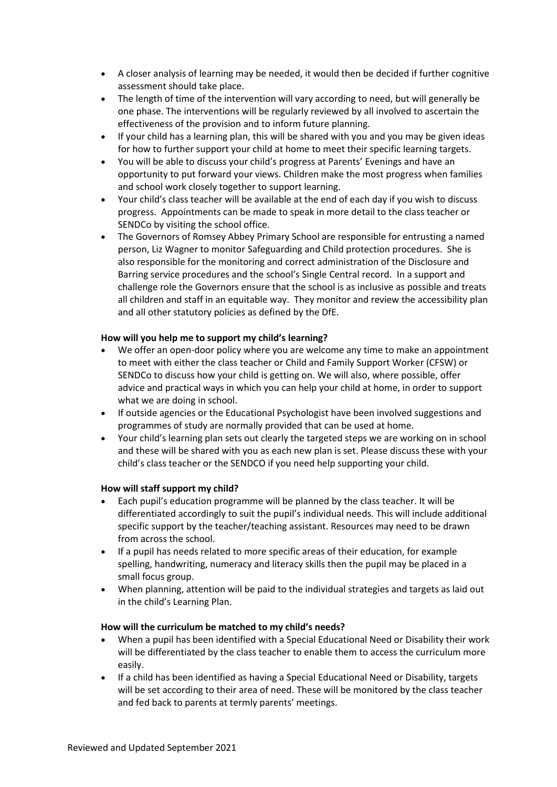- A closer analysis of learning may be needed, it would then be decided if further cognitive assessment should take place.
- The length of time of the intervention will vary according to need, but will generally be one phase. The interventions will be regularly reviewed by all involved to ascertain the effectiveness of the provision and to inform future planning.
- If your child has a learning plan, this will be shared with you and you may be given ideas for how to further support your child at home to meet their specific learning targets.
- You will be able to discuss your child's progress at Parents' Evenings and have an opportunity to put forward your views. Children make the most progress when families and school work closely together to support learning.
- Your child's class teacher will be available at the end of each day if you wish to discuss progress. Appointments can be made to speak in more detail to the class teacher or SENDCo by visiting the school office.
- The Governors of Romsey Abbey Primary School are responsible for entrusting a named person, Liz Wagner to monitor Safeguarding and Child protection procedures. She is also responsible for the monitoring and correct administration of the Disclosure and Barring service procedures and the school's Single Central record. In a support and challenge role the Governors ensure that the school is as inclusive as possible and treats all children and staff in an equitable way. They monitor and review the accessibility plan and all other statutory policies as defined by the DfE.

### **How will you help me to support my child's learning?**

- We offer an open-door policy where you are welcome any time to make an appointment to meet with either the class teacher or Child and Family Support Worker (CFSW) or SENDCo to discuss how your child is getting on. We will also, where possible, offer advice and practical ways in which you can help your child at home, in order to support what we are doing in school.
- If outside agencies or the Educational Psychologist have been involved suggestions and programmes of study are normally provided that can be used at home.
- Your child's learning plan sets out clearly the targeted steps we are working on in school and these will be shared with you as each new plan is set. Please discuss these with your child's class teacher or the SENDCO if you need help supporting your child.

#### **How will staff support my child?**

- Each pupil's education programme will be planned by the class teacher. It will be differentiated accordingly to suit the pupil's individual needs. This will include additional specific support by the teacher/teaching assistant. Resources may need to be drawn from across the school.
- If a pupil has needs related to more specific areas of their education, for example spelling, handwriting, numeracy and literacy skills then the pupil may be placed in a small focus group.
- When planning, attention will be paid to the individual strategies and targets as laid out in the child's Learning Plan.

#### **How will the curriculum be matched to my child's needs?**

- When a pupil has been identified with a Special Educational Need or Disability their work will be differentiated by the class teacher to enable them to access the curriculum more easily.
- If a child has been identified as having a Special Educational Need or Disability, targets will be set according to their area of need. These will be monitored by the class teacher and fed back to parents at termly parents' meetings.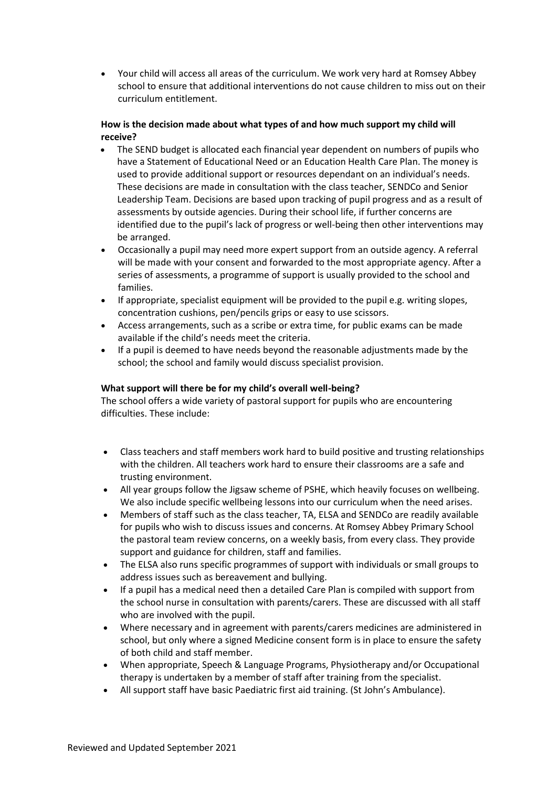• Your child will access all areas of the curriculum. We work very hard at Romsey Abbey school to ensure that additional interventions do not cause children to miss out on their curriculum entitlement.

# **How is the decision made about what types of and how much support my child will receive?**

- The SEND budget is allocated each financial year dependent on numbers of pupils who have a Statement of Educational Need or an Education Health Care Plan. The money is used to provide additional support or resources dependant on an individual's needs. These decisions are made in consultation with the class teacher, SENDCo and Senior Leadership Team. Decisions are based upon tracking of pupil progress and as a result of assessments by outside agencies. During their school life, if further concerns are identified due to the pupil's lack of progress or well-being then other interventions may be arranged.
- Occasionally a pupil may need more expert support from an outside agency. A referral will be made with your consent and forwarded to the most appropriate agency. After a series of assessments, a programme of support is usually provided to the school and families.
- If appropriate, specialist equipment will be provided to the pupil e.g. writing slopes, concentration cushions, pen/pencils grips or easy to use scissors.
- Access arrangements, such as a scribe or extra time, for public exams can be made available if the child's needs meet the criteria.
- If a pupil is deemed to have needs beyond the reasonable adjustments made by the school; the school and family would discuss specialist provision.

# **What support will there be for my child's overall well-being?**

The school offers a wide variety of pastoral support for pupils who are encountering difficulties. These include:

- Class teachers and staff members work hard to build positive and trusting relationships with the children. All teachers work hard to ensure their classrooms are a safe and trusting environment.
- All year groups follow the Jigsaw scheme of PSHE, which heavily focuses on wellbeing. We also include specific wellbeing lessons into our curriculum when the need arises.
- Members of staff such as the class teacher, TA, ELSA and SENDCo are readily available for pupils who wish to discuss issues and concerns. At Romsey Abbey Primary School the pastoral team review concerns, on a weekly basis, from every class. They provide support and guidance for children, staff and families.
- The ELSA also runs specific programmes of support with individuals or small groups to address issues such as bereavement and bullying.
- If a pupil has a medical need then a detailed Care Plan is compiled with support from the school nurse in consultation with parents/carers. These are discussed with all staff who are involved with the pupil.
- Where necessary and in agreement with parents/carers medicines are administered in school, but only where a signed Medicine consent form is in place to ensure the safety of both child and staff member.
- When appropriate, Speech & Language Programs, Physiotherapy and/or Occupational therapy is undertaken by a member of staff after training from the specialist.
- All support staff have basic Paediatric first aid training. (St John's Ambulance).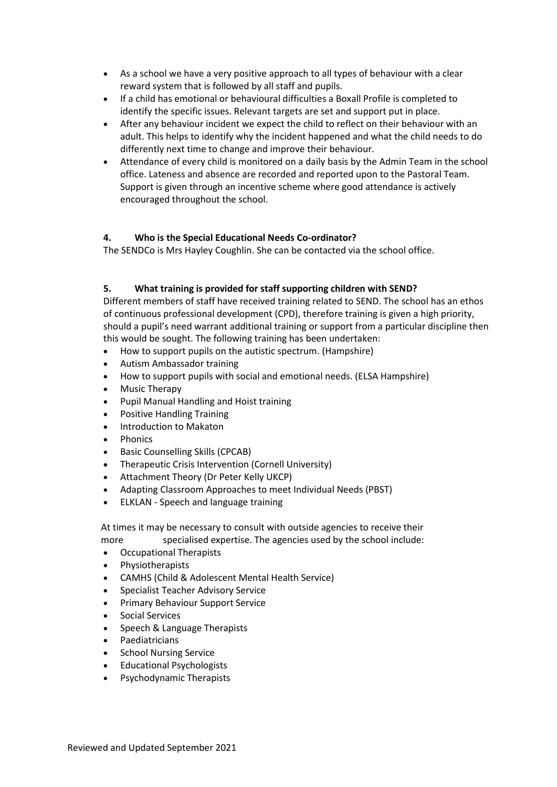- As a school we have a very positive approach to all types of behaviour with a clear reward system that is followed by all staff and pupils.
- If a child has emotional or behavioural difficulties a Boxall Profile is completed to identify the specific issues. Relevant targets are set and support put in place.
- After any behaviour incident we expect the child to reflect on their behaviour with an adult. This helps to identify why the incident happened and what the child needs to do differently next time to change and improve their behaviour.
- Attendance of every child is monitored on a daily basis by the Admin Team in the school office. Lateness and absence are recorded and reported upon to the Pastoral Team. Support is given through an incentive scheme where good attendance is actively encouraged throughout the school.

# **4. Who is the Special Educational Needs Co-ordinator?**

The SENDCo is Mrs Hayley Coughlin. She can be contacted via the school office.

# **5. What training is provided for staff supporting children with SEND?**

Different members of staff have received training related to SEND. The school has an ethos of continuous professional development (CPD), therefore training is given a high priority, should a pupil's need warrant additional training or support from a particular discipline then this would be sought. The following training has been undertaken:

- How to support pupils on the autistic spectrum. (Hampshire)
- Autism Ambassador training
- How to support pupils with social and emotional needs. (ELSA Hampshire)
- Music Therapy
- Pupil Manual Handling and Hoist training
- Positive Handling Training
- Introduction to Makaton
- **Phonics**
- Basic Counselling Skills (CPCAB)
- Therapeutic Crisis Intervention (Cornell University)
- Attachment Theory (Dr Peter Kelly UKCP)
- Adapting Classroom Approaches to meet Individual Needs (PBST)
- ELKLAN Speech and language training

At times it may be necessary to consult with outside agencies to receive their more specialised expertise. The agencies used by the school include:

- Occupational Therapists
- Physiotherapists
- CAMHS (Child & Adolescent Mental Health Service)
- Specialist Teacher Advisory Service
- Primary Behaviour Support Service
- Social Services
- Speech & Language Therapists
- **Paediatricians**
- School Nursing Service
- Educational Psychologists
- Psychodynamic Therapists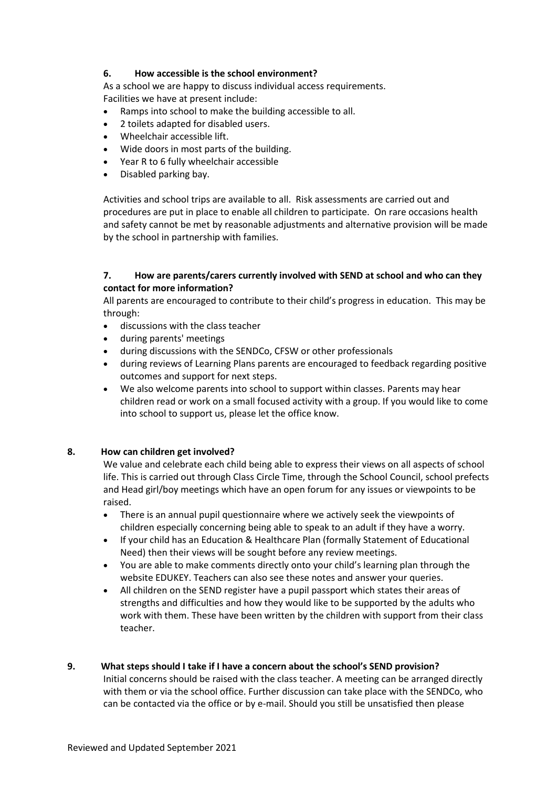# **6. How accessible is the school environment?**

As a school we are happy to discuss individual access requirements. Facilities we have at present include:

- Ramps into school to make the building accessible to all.
- 2 toilets adapted for disabled users.
- Wheelchair accessible lift.
- Wide doors in most parts of the building.
- Year R to 6 fully wheelchair accessible
- Disabled parking bay.

Activities and school trips are available to all. Risk assessments are carried out and procedures are put in place to enable all children to participate. On rare occasions health and safety cannot be met by reasonable adjustments and alternative provision will be made by the school in partnership with families.

### **7. How are parents/carers currently involved with SEND at school and who can they contact for more information?**

All parents are encouraged to contribute to their child's progress in education. This may be through:

- discussions with the class teacher
- during parents' meetings
- during discussions with the SENDCo, CFSW or other professionals
- during reviews of Learning Plans parents are encouraged to feedback regarding positive outcomes and support for next steps.
- We also welcome parents into school to support within classes. Parents may hear children read or work on a small focused activity with a group. If you would like to come into school to support us, please let the office know.

#### **8. How can children get involved?**

We value and celebrate each child being able to express their views on all aspects of school life. This is carried out through Class Circle Time, through the School Council, school prefects and Head girl/boy meetings which have an open forum for any issues or viewpoints to be raised.

- There is an annual pupil questionnaire where we actively seek the viewpoints of children especially concerning being able to speak to an adult if they have a worry.
- If your child has an Education & Healthcare Plan (formally Statement of Educational Need) then their views will be sought before any review meetings.
- You are able to make comments directly onto your child's learning plan through the website EDUKEY. Teachers can also see these notes and answer your queries.
- All children on the SEND register have a pupil passport which states their areas of strengths and difficulties and how they would like to be supported by the adults who work with them. These have been written by the children with support from their class teacher.

#### **9. What steps should I take if I have a concern about the school's SEND provision?**

Initial concerns should be raised with the class teacher. A meeting can be arranged directly with them or via the school office. Further discussion can take place with the SENDCo, who can be contacted via the office or by e-mail. Should you still be unsatisfied then please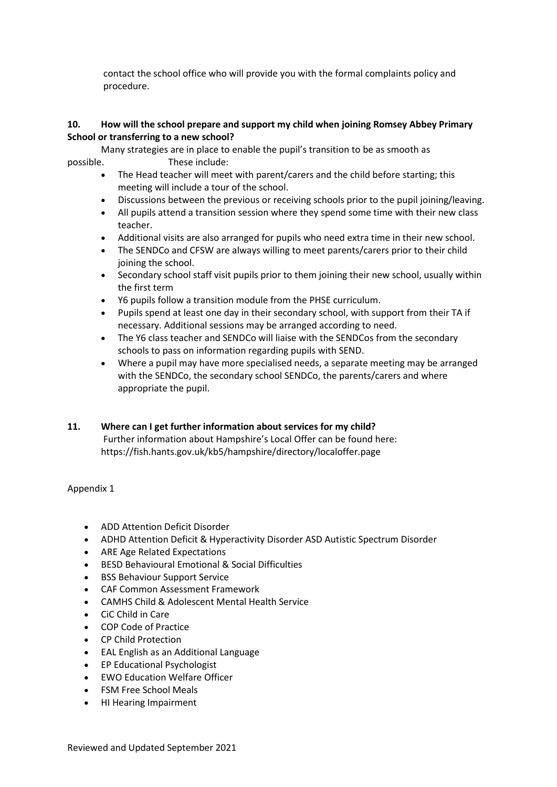contact the school office who will provide you with the formal complaints policy and procedure.

### **10. How will the school prepare and support my child when joining Romsey Abbey Primary School or transferring to a new school?**

Many strategies are in place to enable the pupil's transition to be as smooth as possible. These include:

- The Head teacher will meet with parent/carers and the child before starting; this meeting will include a tour of the school.
- Discussions between the previous or receiving schools prior to the pupil joining/leaving.
- All pupils attend a transition session where they spend some time with their new class teacher.
- Additional visits are also arranged for pupils who need extra time in their new school.
- The SENDCo and CFSW are always willing to meet parents/carers prior to their child joining the school.
- Secondary school staff visit pupils prior to them joining their new school, usually within the first term
- Y6 pupils follow a transition module from the PHSE curriculum.
- Pupils spend at least one day in their secondary school, with support from their TA if necessary. Additional sessions may be arranged according to need.
- The Y6 class teacher and SENDCo will liaise with the SENDCos from the secondary schools to pass on information regarding pupils with SEND.
- Where a pupil may have more specialised needs, a separate meeting may be arranged with the SENDCo, the secondary school SENDCo, the parents/carers and where appropriate the pupil.

# **11. Where can I get further information about services for my child?** Further information about Hampshire's Local Offer can be found here: https://fish.hants.gov.uk/kb5/hampshire/directory/localoffer.page

#### Appendix 1

- ADD Attention Deficit Disorder
- ADHD Attention Deficit & Hyperactivity Disorder ASD Autistic Spectrum Disorder
- ARE Age Related Expectations
- BESD Behavioural Emotional & Social Difficulties
- BSS Behaviour Support Service
- CAF Common Assessment Framework
- CAMHS Child & Adolescent Mental Health Service
- CiC Child in Care
- COP Code of Practice
- CP Child Protection
- EAL English as an Additional Language
- EP Educational Psychologist
- EWO Education Welfare Officer
- FSM Free School Meals
- HI Hearing Impairment